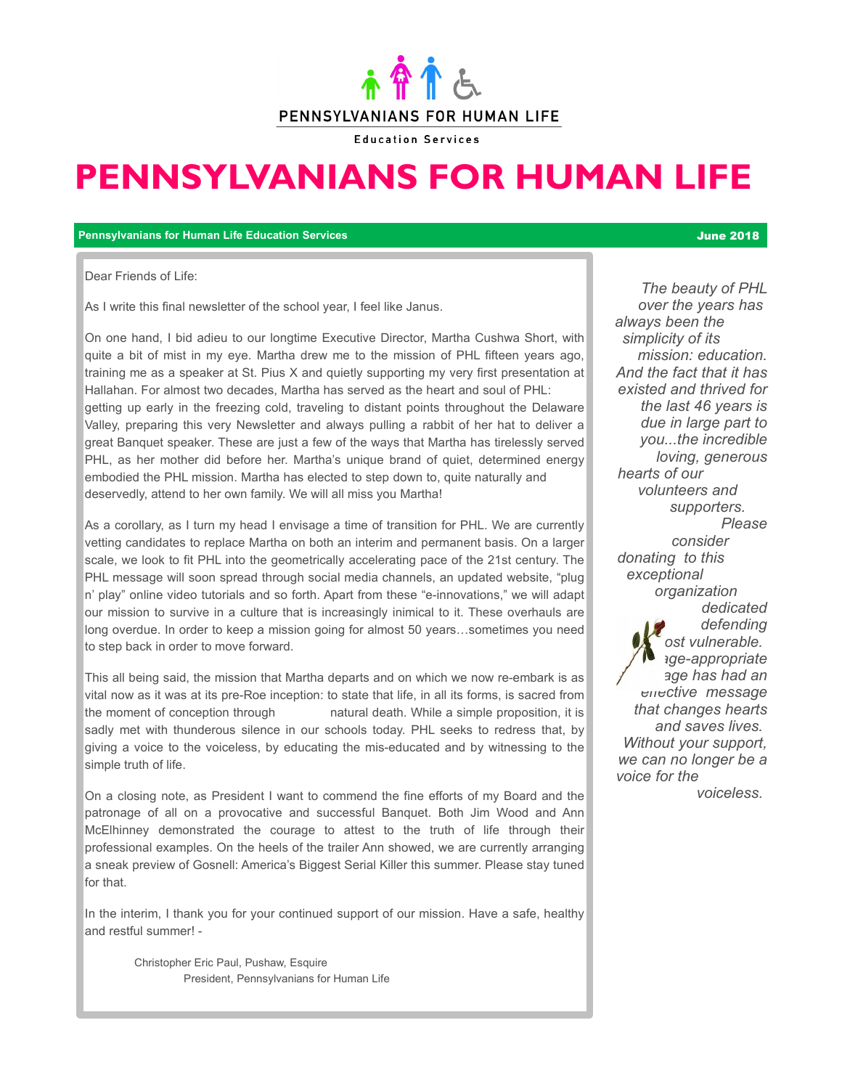

**Education Services** 

# **PENNSYLVANIANS FOR HUMAN LIFE**

**Pennsylvanians for Human Life Education Services** June 2018

Dear Friends of Life:

As I write this final newsletter of the school year, I feel like Janus.

On one hand, I bid adieu to our longtime Executive Director, Martha Cushwa Short, with quite a bit of mist in my eye. Martha drew me to the mission of PHL fifteen years ago, training me as a speaker at St. Pius X and quietly supporting my very first presentation at Hallahan. For almost two decades, Martha has served as the heart and soul of PHL: getting up early in the freezing cold, traveling to distant points throughout the Delaware Valley, preparing this very Newsletter and always pulling a rabbit of her hat to deliver a great Banquet speaker. These are just a few of the ways that Martha has tirelessly served PHL, as her mother did before her. Martha's unique brand of quiet, determined energy embodied the PHL mission. Martha has elected to step down to, quite naturally and deservedly, attend to her own family. We will all miss you Martha!

As a corollary, as I turn my head I envisage a time of transition for PHL. We are currently vetting candidates to replace Martha on both an interim and permanent basis. On a larger scale, we look to fit PHL into the geometrically accelerating pace of the 21st century. The PHL message will soon spread through social media channels, an updated website, "plug n' play" online video tutorials and so forth. Apart from these "e-innovations," we will adapt our mission to survive in a culture that is increasingly inimical to it. These overhauls are long overdue. In order to keep a mission going for almost 50 years…sometimes you need to step back in order to move forward.

This all being said, the mission that Martha departs and on which we now re-embark is as vital now as it was at its pre-Roe inception: to state that life, in all its forms, is sacred from the moment of conception through natural death. While a simple proposition, it is sadly met with thunderous silence in our schools today. PHL seeks to redress that, by giving a voice to the voiceless, by educating the mis-educated and by witnessing to the simple truth of life.

On a closing note, as President I want to commend the fine efforts of my Board and the patronage of all on a provocative and successful Banquet. Both Jim Wood and Ann McElhinney demonstrated the courage to attest to the truth of life through their professional examples. On the heels of the trailer Ann showed, we are currently arranging a sneak preview of Gosnell: America's Biggest Serial Killer this summer. Please stay tuned for that.

In the interim, I thank you for your continued support of our mission. Have a safe, healthy and restful summer! -

Christopher Eric Paul, Pushaw, Esquire President, Pennsylvanians for Human Life

*The beauty of PHL over the years has always been the simplicity of its mission: education. And the fact that it has existed and thrived for the last 46 years is due in large part to you...the incredible loving, generous hearts of our volunteers and supporters. Please consider donating to this exceptional organization dedicated to defending the most vulnerable. PHL's age-appropriate message has had an effective message that changes hearts and saves lives. Without your support, we can no longer be a voice for the* 

 *voiceless.*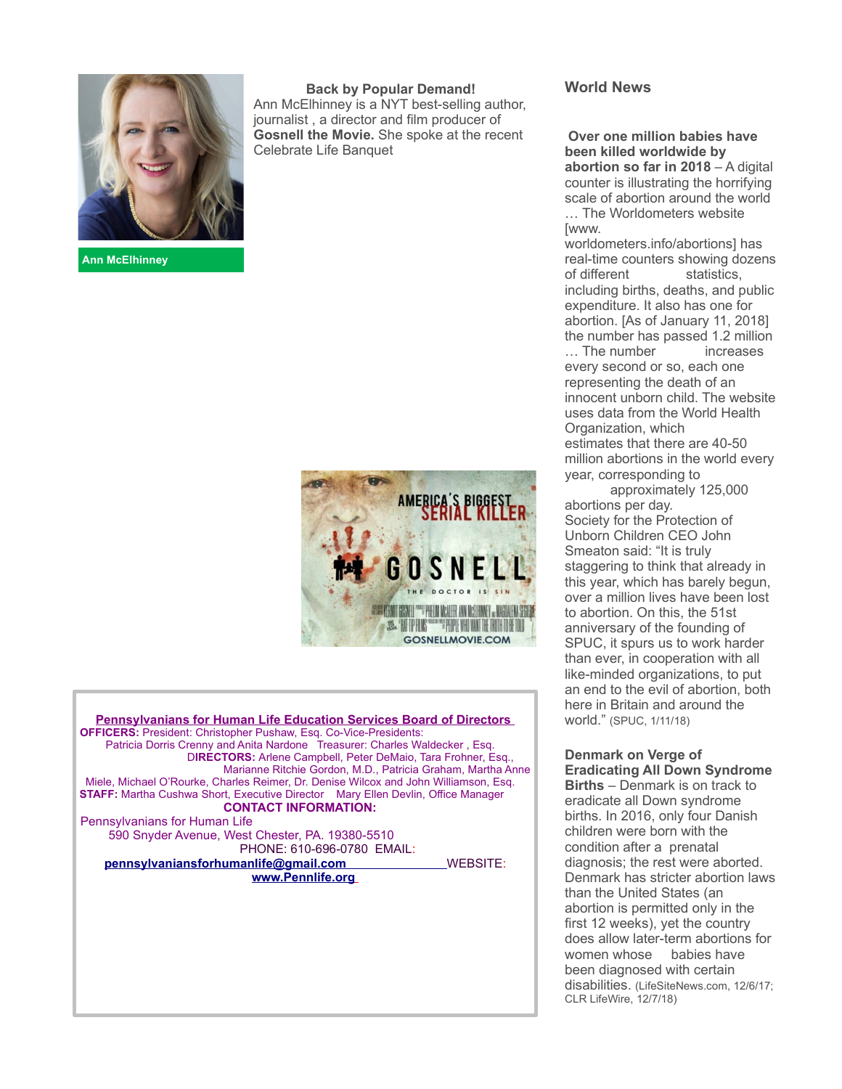

**Ann McElhinney** 

**Back by Popular Demand!**  Ann McElhinney is a NYT best-selling author, journalist , a director and film producer of **Gosnell the Movie.** She spoke at the recent Celebrate Life Banquet



**Pennsylvanians for Human Life Education Services Board of Directors OFFICERS:** President: Christopher Pushaw, Esq. Co-Vice-Presidents: Patricia Dorris Crenny and Anita Nardone Treasurer: Charles Waldecker, Esg. D**IRECTORS:** Arlene Campbell, Peter DeMaio, Tara Frohner, Esq., Marianne Ritchie Gordon, M.D., Patricia Graham, Martha Anne Miele, Michael O'Rourke, Charles Reimer, Dr. Denise Wilcox and John Williamson, Esq. **STAFF:** Martha Cushwa Short, Executive Director Mary Ellen Devlin, Office Manager **CONTACT INFORMATION:** Pennsylvanians for Human Life 590 Snyder Avenue, West Chester, PA. 19380-5510 PHONE: 610-696-0780 EMAIL: **pennsylvaniansforhumanlife@gmail.com** WEBSITE: **www.Pennlife.org**

#### **World News**

**Over one million babies have been killed worldwide by abortion so far in 2018** – A digital counter is illustrating the horrifying scale of abortion around the world … The Worldometers website

[www.

worldometers.info/abortions] has real-time counters showing dozens of different statistics. including births, deaths, and public expenditure. It also has one for abortion. [As of January 11, 2018] the number has passed 1.2 million … The number increases every second or so, each one representing the death of an innocent unborn child. The website uses data from the World Health Organization, which estimates that there are 40-50 million abortions in the world every year, corresponding to

 approximately 125,000 abortions per day. Society for the Protection of Unborn Children CEO John Smeaton said: "It is truly staggering to think that already in this year, which has barely begun, over a million lives have been lost to abortion. On this, the 51st anniversary of the founding of SPUC, it spurs us to work harder than ever, in cooperation with all like-minded organizations, to put an end to the evil of abortion, both here in Britain and around the world." (SPUC, 1/11/18)

**Denmark on Verge of Eradicating All Down Syndrome Births** – Denmark is on track to eradicate all Down syndrome births. In 2016, only four Danish children were born with the condition after a prenatal diagnosis; the rest were aborted. Denmark has stricter abortion laws than the United States (an abortion is permitted only in the first 12 weeks), yet the country does allow later-term abortions for women whose babies have been diagnosed with certain disabilities. (LifeSiteNews.com, 12/6/17; CLR LifeWire, 12/7/18)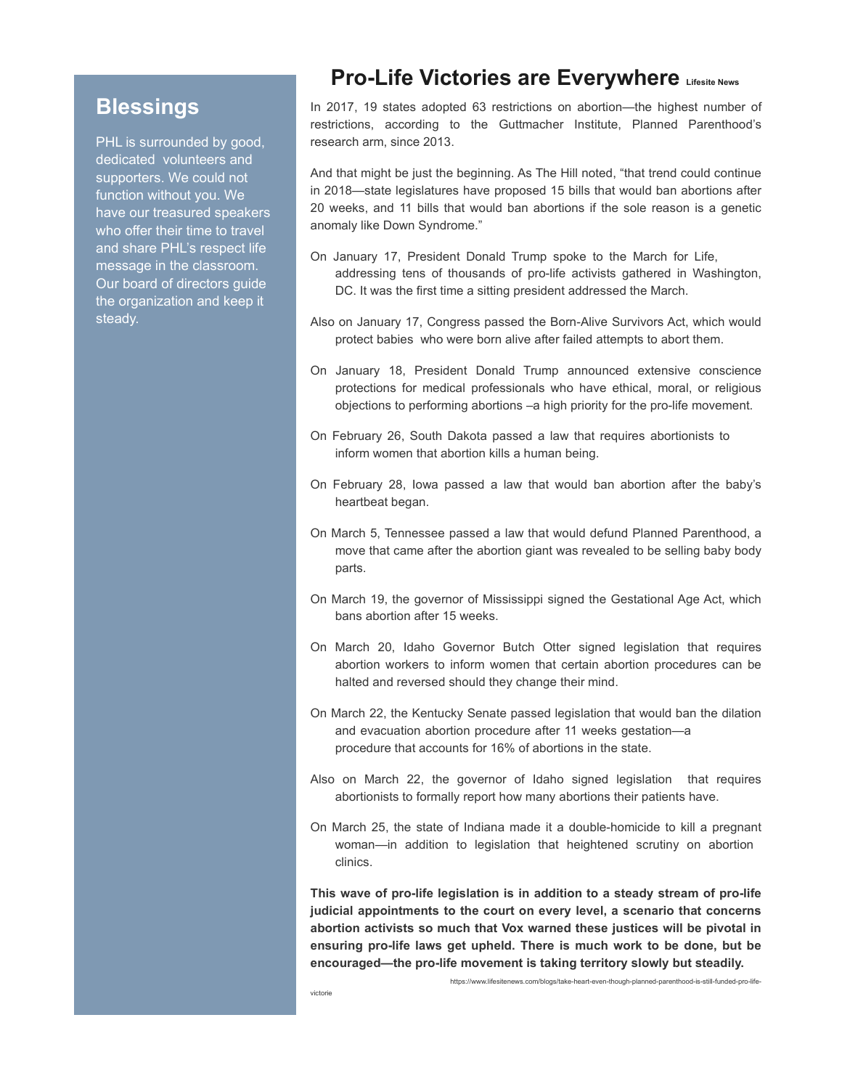## **Blessings**

PHL is surrounded by good, dedicated volunteers and supporters. We could not function without you. We have our treasured speakers who offer their time to travel and share PHL's respect life message in the classroom. Our board of directors guide the organization and keep it steady.

## **Pro-Life Victories are Everywhere Lifesite News**

In 2017, 19 states adopted 63 restrictions on abortion—the highest number of restrictions, according to the Guttmacher Institute, Planned Parenthood's research arm, since 2013.

And that might be just the beginning. As The Hill noted, "that trend could continue in 2018—state legislatures have proposed 15 bills that would ban abortions after 20 weeks, and 11 bills that would ban abortions if the sole reason is a genetic anomaly like Down Syndrome."

- On January 17, President Donald Trump spoke to the March for Life, addressing tens of thousands of pro-life activists gathered in Washington, DC. It was the first time a sitting president addressed the March.
- Also on January 17, Congress passed the Born-Alive Survivors Act, which would protect babies who were born alive after failed attempts to abort them.
- On January 18, President Donald Trump announced extensive conscience protections for medical professionals who have ethical, moral, or religious objections to performing abortions –a high priority for the pro-life movement.
- On February 26, South Dakota passed a law that requires abortionists to inform women that abortion kills a human being.
- On February 28, Iowa passed a law that would ban abortion after the baby's heartbeat began.
- On March 5, Tennessee passed a law that would defund Planned Parenthood, a move that came after the abortion giant was revealed to be selling baby body parts.
- On March 19, the governor of Mississippi signed the Gestational Age Act, which bans abortion after 15 weeks.
- On March 20, Idaho Governor Butch Otter signed legislation that requires abortion workers to inform women that certain abortion procedures can be halted and reversed should they change their mind.
- On March 22, the Kentucky Senate passed legislation that would ban the dilation and evacuation abortion procedure after 11 weeks gestation—a procedure that accounts for 16% of abortions in the state.
- Also on March 22, the governor of Idaho signed legislation that requires abortionists to formally report how many abortions their patients have.
- On March 25, the state of Indiana made it a double-homicide to kill a pregnant woman—in addition to legislation that heightened scrutiny on abortion clinics.

**This wave of pro-life legislation is in addition to a steady stream of pro-life judicial appointments to the court on every level, a scenario that concerns abortion activists so much that Vox warned these justices will be pivotal in ensuring pro-life laws get upheld. There is much work to be done, but be encouraged—the pro-life movement is taking territory slowly but steadily.**